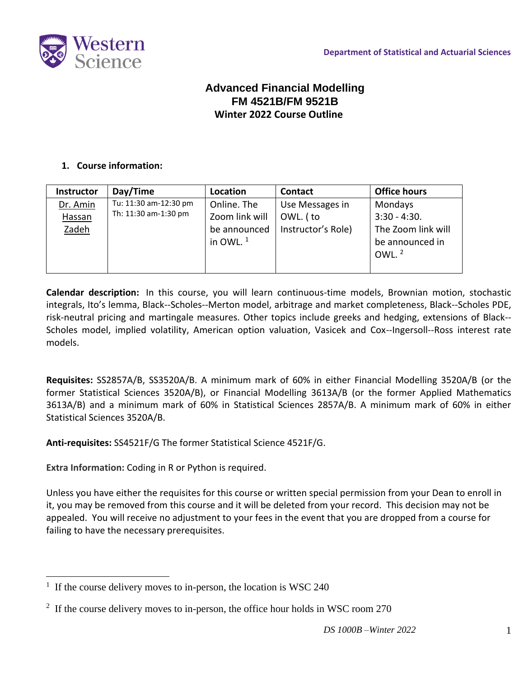

# **Advanced Financial Modelling FM 4521B/FM 9521B Winter 2022 Course Outline**

### **1. Course information:**

| <b>Instructor</b> | Day/Time                                      | Location       | <b>Contact</b>     | <b>Office hours</b> |
|-------------------|-----------------------------------------------|----------------|--------------------|---------------------|
| Dr. Amin          | Tu: 11:30 am-12:30 pm<br>Th: 11:30 am-1:30 pm | Online. The    | Use Messages in    | Mondays             |
| <b>Hassan</b>     |                                               | Zoom link will | OWL. (to           | $3:30 - 4:30.$      |
| Zadeh             |                                               | be announced   | Instructor's Role) | The Zoom link will  |
|                   |                                               | in OWL. $1$    |                    | be announced in     |
|                   |                                               |                |                    | OWL. $2$            |
|                   |                                               |                |                    |                     |

**Calendar description:** In this course, you will learn continuous-time models, Brownian motion, stochastic integrals, Ito's lemma, Black-‐Scholes-‐Merton model, arbitrage and market completeness, Black-‐Scholes PDE, risk-neutral pricing and martingale measures. Other topics include greeks and hedging, extensions of Black-‐ Scholes model, implied volatility, American option valuation, Vasicek and Cox--Ingersoll--Ross interest rate models.

**Requisites:** SS2857A/B, SS3520A/B. A minimum mark of 60% in either Financial Modelling 3520A/B (or the former Statistical Sciences 3520A/B), or Financial Modelling 3613A/B (or the former Applied Mathematics 3613A/B) and a minimum mark of 60% in Statistical Sciences 2857A/B. A minimum mark of 60% in either Statistical Sciences 3520A/B.

**Anti-requisites:** SS4521F/G The former Statistical Science 4521F/G.

**Extra Information:** Coding in R or Python is required.

Unless you have either the requisites for this course or written special permission from your Dean to enroll in it, you may be removed from this course and it will be deleted from your record. This decision may not be appealed. You will receive no adjustment to your fees in the event that you are dropped from a course for failing to have the necessary prerequisites.

<sup>&</sup>lt;sup>1</sup> If the course delivery moves to in-person, the location is WSC 240

<sup>&</sup>lt;sup>2</sup> If the course delivery moves to in-person, the office hour holds in WSC room 270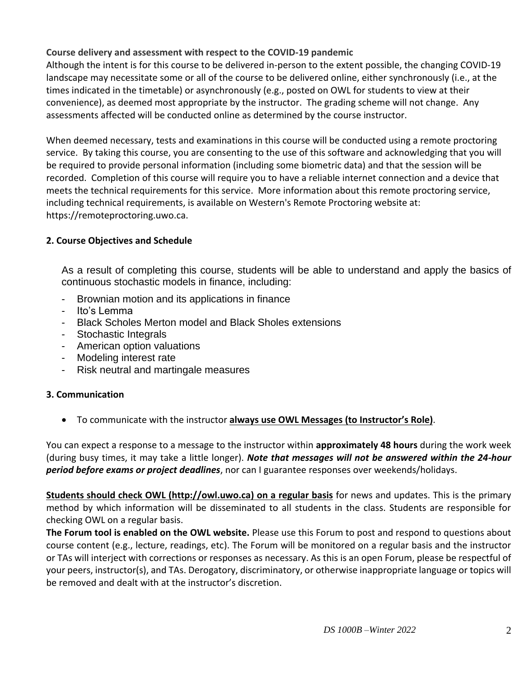**Course delivery and assessment with respect to the COVID-19 pandemic**

Although the intent is for this course to be delivered in-person to the extent possible, the changing COVID-19 landscape may necessitate some or all of the course to be delivered online, either synchronously (i.e., at the times indicated in the timetable) or asynchronously (e.g., posted on OWL for students to view at their convenience), as deemed most appropriate by the instructor. The grading scheme will not change. Any assessments affected will be conducted online as determined by the course instructor.

When deemed necessary, tests and examinations in this course will be conducted using a remote proctoring service. By taking this course, you are consenting to the use of this software and acknowledging that you will be required to provide personal information (including some biometric data) and that the session will be recorded. Completion of this course will require you to have a reliable internet connection and a device that meets the technical requirements for this service. More information about this remote proctoring service, including technical requirements, is available on Western's Remote Proctoring website at: https://remoteproctoring.uwo.ca.

# **2. Course Objectives and Schedule**

As a result of completing this course, students will be able to understand and apply the basics of continuous stochastic models in finance, including:

- Brownian motion and its applications in finance
- Ito's Lemma
- Black Scholes Merton model and Black Sholes extensions
- Stochastic Integrals
- American option valuations
- Modeling interest rate
- Risk neutral and martingale measures

# **3. Communication**

• To communicate with the instructor **always use OWL Messages (to Instructor's Role)**.

You can expect a response to a message to the instructor within **approximately 48 hours** during the work week (during busy times, it may take a little longer). *Note that messages will not be answered within the 24-hour period before exams or project deadlines*, nor can I guarantee responses over weekends/holidays.

**Students should check OWL [\(http://owl.uwo.ca\)](http://owl.uwo.ca/) on a regular basis** for news and updates. This is the primary method by which information will be disseminated to all students in the class. Students are responsible for checking OWL on a regular basis.

**The Forum tool is enabled on the OWL website.** Please use this Forum to post and respond to questions about course content (e.g., lecture, readings, etc). The Forum will be monitored on a regular basis and the instructor or TAs will interject with corrections or responses as necessary. As this is an open Forum, please be respectful of your peers, instructor(s), and TAs. Derogatory, discriminatory, or otherwise inappropriate language or topics will be removed and dealt with at the instructor's discretion.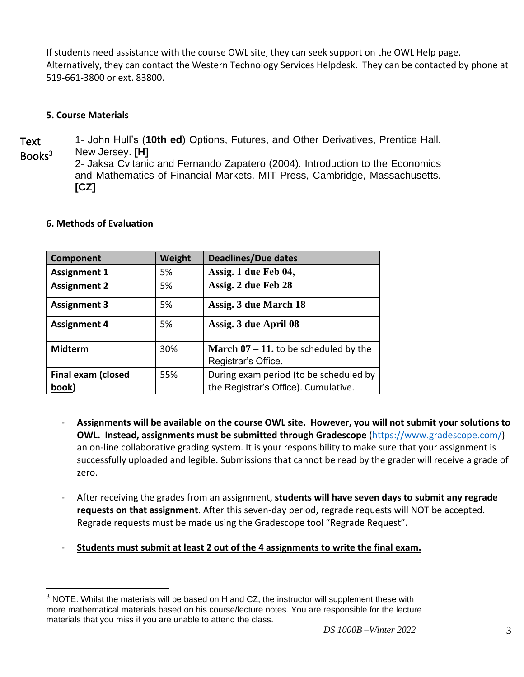If students need assistance with the course OWL site, they can seek support on the OWL Help page. Alternatively, they can contact the Western Technology Services Helpdesk. They can be contacted by phone at 519-661-3800 or ext. 83800.

### **5. Course Materials**

Text Books<sup>3</sup> 1- John Hull's (**10th ed**) Options, Futures, and Other Derivatives, Prentice Hall, New Jersey. **[H]** 2- Jaksa Cvitanic and Fernando Zapatero (2004). Introduction to the Economics and Mathematics of Financial Markets. MIT Press, Cambridge, Massachusetts. **[CZ]**

| Component                          | Weight | <b>Deadlines/Due dates</b>                                                     |
|------------------------------------|--------|--------------------------------------------------------------------------------|
| <b>Assignment 1</b>                | 5%     | Assig. 1 due Feb 04,                                                           |
| <b>Assignment 2</b>                | 5%     | Assig. 2 due Feb 28                                                            |
| <b>Assignment 3</b>                | 5%     | Assig. 3 due March 18                                                          |
| <b>Assignment 4</b>                | 5%     | Assig. 3 due April 08                                                          |
| <b>Midterm</b>                     | 30%    | <b>March 07 – 11.</b> to be scheduled by the<br>Registrar's Office.            |
| <b>Final exam (closed</b><br>book) | 55%    | During exam period (to be scheduled by<br>the Registrar's Office). Cumulative. |

#### **6. Methods of Evaluation**

- **Assignments will be available on the course OWL site. However, you will not submit your solutions to OWL. Instead, assignments must be submitted through Gradescope** [\(https://www.gradescope.com/\)](https://www.gradescope.com/) an on-line collaborative grading system. It is your responsibility to make sure that your assignment is successfully uploaded and legible. Submissions that cannot be read by the grader will receive a grade of zero.
- After receiving the grades from an assignment, **students will have seven days to submit any regrade requests on that assignment**. After this seven-day period, regrade requests will NOT be accepted. Regrade requests must be made using the Gradescope tool "Regrade Request".
- **Students must submit at least 2 out of the 4 assignments to write the final exam.**

 $3$  NOTE: Whilst the materials will be based on H and CZ, the instructor will supplement these with more mathematical materials based on his course/lecture notes. You are responsible for the lecture materials that you miss if you are unable to attend the class.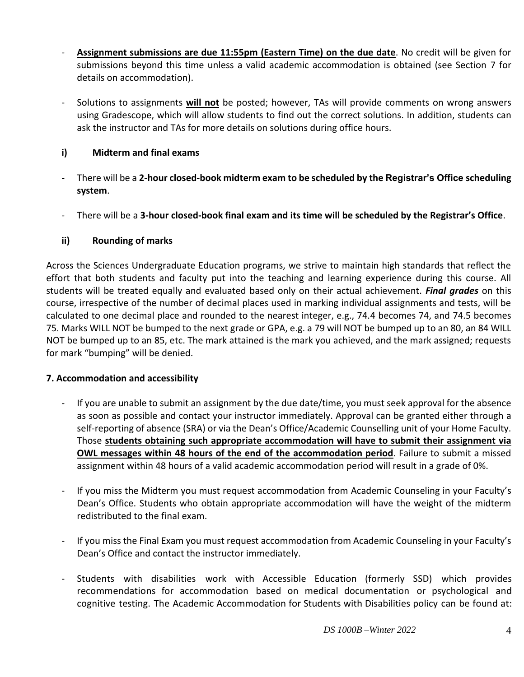- **Assignment submissions are due 11:55pm (Eastern Time) on the due date**. No credit will be given for submissions beyond this time unless a valid academic accommodation is obtained (see Section 7 for details on accommodation).
- Solutions to assignments **will not** be posted; however, TAs will provide comments on wrong answers using Gradescope, which will allow students to find out the correct solutions. In addition, students can ask the instructor and TAs for more details on solutions during office hours.

## **i) Midterm and final exams**

- There will be a **2-hour closed-book midterm exam to be scheduled by the Registrar's Office scheduling system**.
- There will be a **3-hour closed-book final exam and its time will be scheduled by the Registrar's Office**.

## **ii) Rounding of marks**

Across the Sciences Undergraduate Education programs, we strive to maintain high standards that reflect the effort that both students and faculty put into the teaching and learning experience during this course. All students will be treated equally and evaluated based only on their actual achievement. *Final grades* on this course, irrespective of the number of decimal places used in marking individual assignments and tests, will be calculated to one decimal place and rounded to the nearest integer, e.g., 74.4 becomes 74, and 74.5 becomes 75. Marks WILL NOT be bumped to the next grade or GPA, e.g. a 79 will NOT be bumped up to an 80, an 84 WILL NOT be bumped up to an 85, etc. The mark attained is the mark you achieved, and the mark assigned; requests for mark "bumping" will be denied.

## **7. Accommodation and accessibility**

- If you are unable to submit an assignment by the due date/time, you must seek approval for the absence as soon as possible and contact your instructor immediately. Approval can be granted either through a self-reporting of absence (SRA) or via the Dean's Office/Academic Counselling unit of your Home Faculty. Those **students obtaining such appropriate accommodation will have to submit their assignment via OWL messages within 48 hours of the end of the accommodation period**. Failure to submit a missed assignment within 48 hours of a valid academic accommodation period will result in a grade of 0%.
- If you miss the Midterm you must request accommodation from Academic Counseling in your Faculty's Dean's Office. Students who obtain appropriate accommodation will have the weight of the midterm redistributed to the final exam.
- If you miss the Final Exam you must request accommodation from Academic Counseling in your Faculty's Dean's Office and contact the instructor immediately.
- Students with disabilities work with Accessible Education (formerly SSD) which provides recommendations for accommodation based on medical documentation or psychological and cognitive testing. The Academic Accommodation for Students with Disabilities policy can be found at: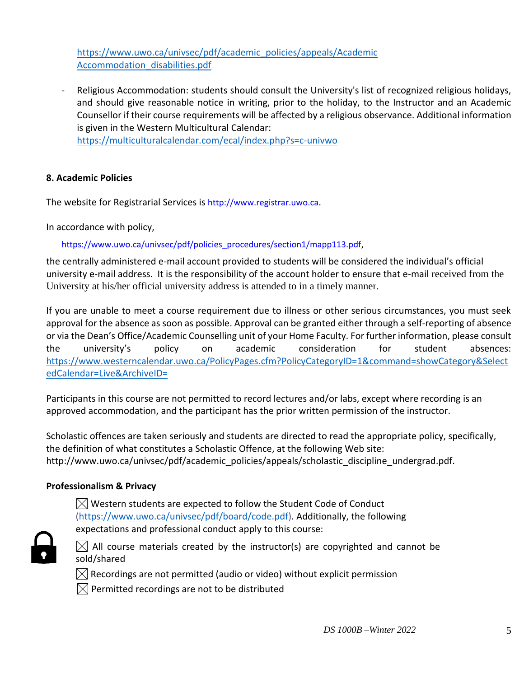[https://www.uwo.ca/univsec/pdf/academic\\_policies/appeals/Academic](https://www.uwo.ca/univsec/pdf/academic_policies/appeals/Academic%20Accommodation_disabilities.pdf)  [Accommodation\\_disabilities.pdf](https://www.uwo.ca/univsec/pdf/academic_policies/appeals/Academic%20Accommodation_disabilities.pdf)

Religious Accommodation: students should consult the University's list of recognized religious holidays, and should give reasonable notice in writing, prior to the holiday, to the Instructor and an Academic Counsellor if their course requirements will be affected by a religious observance. Additional information is given in the Western Multicultural Calendar: <https://multiculturalcalendar.com/ecal/index.php?s=c-univwo>

## **8. Academic Policies**

The website for Registrarial Services is http://www.registrar.uwo.ca.

In accordance with policy,

https://www.uwo.ca/univsec/pdf/policies\_procedures/section1/mapp113.pdf,

the centrally administered e-mail account provided to students will be considered the individual's official university e-mail address. It is the responsibility of the account holder to ensure that e-mail received from the University at his/her official university address is attended to in a timely manner.

If you are unable to meet a course requirement due to illness or other serious circumstances, you must seek approval for the absence as soon as possible. Approval can be granted either through a self-reporting of absence or via the Dean's Office/Academic Counselling unit of your Home Faculty. For further information, please consult the university's policy on academic consideration for student absences: [https://www.westerncalendar.uwo.ca/PolicyPages.cfm?PolicyCategoryID=1&command=showCategory&Select](https://www.westerncalendar.uwo.ca/PolicyPages.cfm?PolicyCategoryID=1&command=showCategory&SelectedCalendar=Live&ArchiveID=) [edCalendar=Live&ArchiveID=](https://www.westerncalendar.uwo.ca/PolicyPages.cfm?PolicyCategoryID=1&command=showCategory&SelectedCalendar=Live&ArchiveID=)

Participants in this course are not permitted to record lectures and/or labs, except where recording is an approved accommodation, and the participant has the prior written permission of the instructor.

Scholastic offences are taken seriously and students are directed to read the appropriate policy, specifically, the definition of what constitutes a Scholastic Offence, at the following Web site: [http://www.uwo.ca/univsec/pdf/academic\\_policies/appeals/scholastic\\_discipline\\_undergrad.pdf.](http://www.uwo.ca/univsec/pdf/academic_policies/appeals/scholastic_discipline_undergrad.pdf)

## **Professionalism & Privacy**

 $\boxtimes$  Western students are expected to follow the Student Code of Conduct [\(https://www.uwo.ca/univsec/pdf/board/code.pdf\)](https://www.uwo.ca/univsec/pdf/board/code.pdf). Additionally, the following expectations and professional conduct apply to this course:



 $\boxtimes$  All course materials created by the instructor(s) are copyrighted and cannot be sold/shared

 $\boxtimes$  Recordings are not permitted (audio or video) without explicit permission

 $\boxtimes$  Permitted recordings are not to be distributed